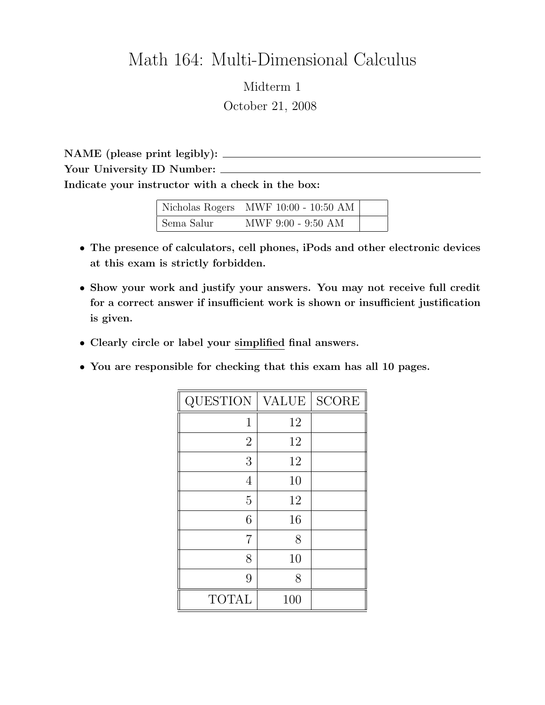## Math 164: Multi-Dimensional Calculus

Midterm 1 October 21, 2008

NAME (please print legibly): Your University ID Number:  $\_\_$ Indicate your instructor with a check in the box:

|            | Nicholas Rogers MWF 10:00 - 10:50 AM |  |
|------------|--------------------------------------|--|
| Sema Salur | MWF 9:00 - 9:50 AM                   |  |

- The presence of calculators, cell phones, iPods and other electronic devices at this exam is strictly forbidden.
- Show your work and justify your answers. You may not receive full credit for a correct answer if insufficient work is shown or insufficient justification is given.
- Clearly circle or label your simplified final answers.
- You are responsible for checking that this exam has all 10 pages.

| QUESTION       | <b>VALUE</b> | <b>SCORE</b> |
|----------------|--------------|--------------|
| 1              | 12           |              |
| $\overline{2}$ | 12           |              |
| 3              | 12           |              |
| 4              | 10           |              |
| 5              | 12           |              |
| 6              | 16           |              |
| 7              | 8            |              |
| 8              | 10           |              |
| 9              | 8            |              |
| <b>TOTAL</b>   | 100          |              |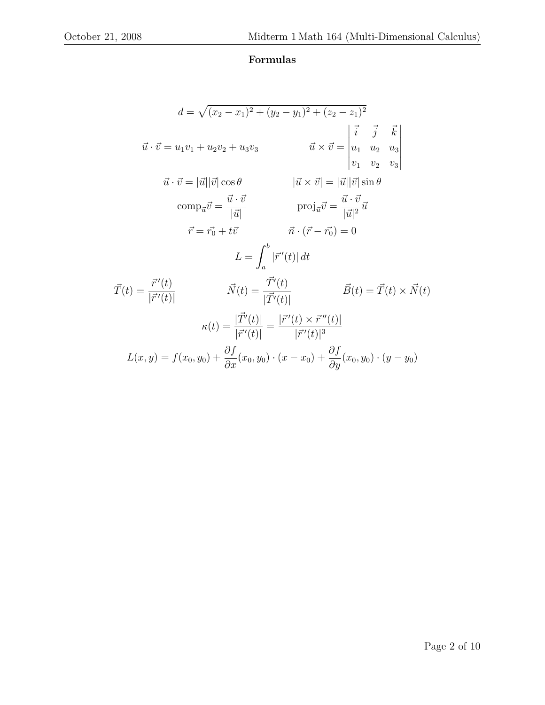## Formulas

$$
d = \sqrt{(x_2 - x_1)^2 + (y_2 - y_1)^2 + (z_2 - z_1)^2}
$$
  
\n
$$
\vec{u} \cdot \vec{v} = u_1v_1 + u_2v_2 + u_3v_3 \qquad \vec{u} \times \vec{v} = \begin{vmatrix} \vec{i} & \vec{j} & \vec{k} \\ u_1 & u_2 & u_3 \\ v_1 & v_2 & v_3 \end{vmatrix}
$$
  
\n
$$
\vec{u} \cdot \vec{v} = |\vec{u}||\vec{v}|\cos\theta \qquad |\vec{u} \times \vec{v}| = |\vec{u}||\vec{v}|\sin\theta
$$
  
\n
$$
\text{comp}_{\vec{u}}\vec{v} = \frac{\vec{u} \cdot \vec{v}}{|\vec{u}|} \qquad \text{proj}_{\vec{u}}\vec{v} = \frac{\vec{u} \cdot \vec{v}}{|\vec{u}|^2}\vec{u}
$$
  
\n
$$
\vec{r} = \vec{r_0} + t\vec{v} \qquad \vec{n} \cdot (\vec{r} - \vec{r_0}) = 0
$$
  
\n
$$
L = \int_a^b |\vec{r}'(t)| dt
$$
  
\n
$$
\vec{T}(t) = \frac{\vec{r}'(t)}{|\vec{r}'(t)|} \qquad \vec{N}(t) = \frac{\vec{T}'(t)}{|\vec{T}'(t)|} \qquad \vec{B}(t) = \vec{T}(t) \times \vec{N}(t)
$$
  
\n
$$
\kappa(t) = \frac{|\vec{T}'(t)|}{|\vec{r}'(t)|} = \frac{|\vec{r}'(t) \times \vec{r}''(t)|}{|\vec{r}'(t)|^3}
$$
  
\n
$$
L(x, y) = f(x_0, y_0) + \frac{\partial f}{\partial x}(x_0, y_0) \cdot (x - x_0) + \frac{\partial f}{\partial y}(x_0, y_0) \cdot (y - y_0)
$$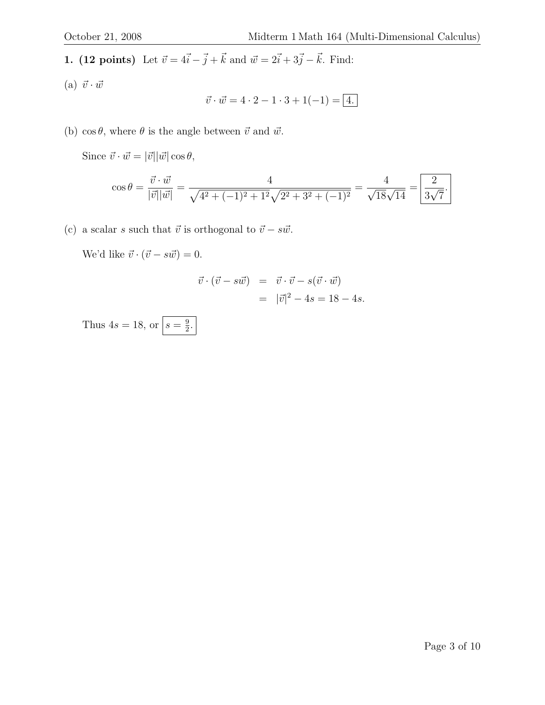1. (12 points) Let  $\vec{v} = 4\vec{i} - \vec{j} + \vec{k}$  and  $\vec{w} = 2\vec{i} + 3\vec{j} - \vec{k}$ . Find:

(a)  $\vec{v} \cdot \vec{w}$ 

$$
\vec{v} \cdot \vec{w} = 4 \cdot 2 - 1 \cdot 3 + 1(-1) = 4.
$$

(b)  $\cos \theta$ , where  $\theta$  is the angle between  $\vec{v}$  and  $\vec{w}$ .

Since  $\vec{v} \cdot \vec{w} = |\vec{v}| |\vec{w}| \cos \theta$ ,

$$
\cos \theta = \frac{\vec{v} \cdot \vec{w}}{|\vec{v}||\vec{w}|} = \frac{4}{\sqrt{4^2 + (-1)^2 + 1^2}\sqrt{2^2 + 3^2 + (-1)^2}} = \frac{4}{\sqrt{18}\sqrt{14}} = \boxed{\frac{2}{3\sqrt{7}}}.
$$

(c) a scalar s such that  $\vec{v}$  is orthogonal to  $\vec{v} - s \vec{w}$ .

We'd like  $\vec{v} \cdot (\vec{v} - s \vec{w}) = 0.$ 

$$
\vec{v} \cdot (\vec{v} - s\vec{w}) = \vec{v} \cdot \vec{v} - s(\vec{v} \cdot \vec{w})
$$

$$
= |\vec{v}|^2 - 4s = 18 - 4s.
$$

Thus  $4s = 18$ , or  $s = \frac{9}{2}$  $\frac{9}{2}$ .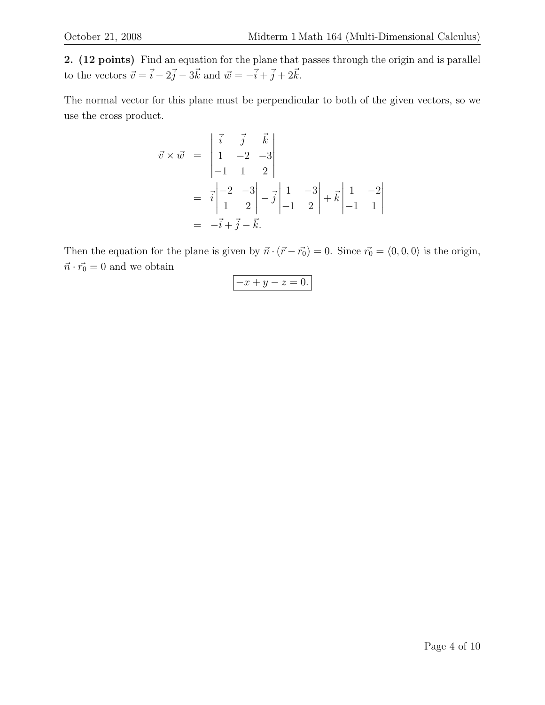2. (12 points) Find an equation for the plane that passes through the origin and is parallel to the vectors  $\vec{v} = \vec{i} - 2\vec{j} - 3\vec{k}$  and  $\vec{w} = -\vec{i} + \vec{j} + 2\vec{k}$ .

The normal vector for this plane must be perpendicular to both of the given vectors, so we use the cross product.

$$
\vec{v} \times \vec{w} = \begin{vmatrix} \vec{i} & \vec{j} & \vec{k} \\ 1 & -2 & -3 \\ -1 & 1 & 2 \end{vmatrix}
$$
  
=  $\vec{i} \begin{vmatrix} -2 & -3 \\ 1 & 2 \end{vmatrix} - \vec{j} \begin{vmatrix} 1 & -3 \\ -1 & 2 \end{vmatrix} + \vec{k} \begin{vmatrix} 1 & -2 \\ -1 & 1 \end{vmatrix}$   
=  $-\vec{i} + \vec{j} - \vec{k}$ .

Then the equation for the plane is given by  $\vec{n} \cdot (\vec{r} - \vec{r_0}) = 0$ . Since  $\vec{r_0} = \langle 0, 0, 0 \rangle$  is the origin,  $\vec{n}\cdot\vec{r_0}=0$  and we obtain

$$
-x + y - z = 0.
$$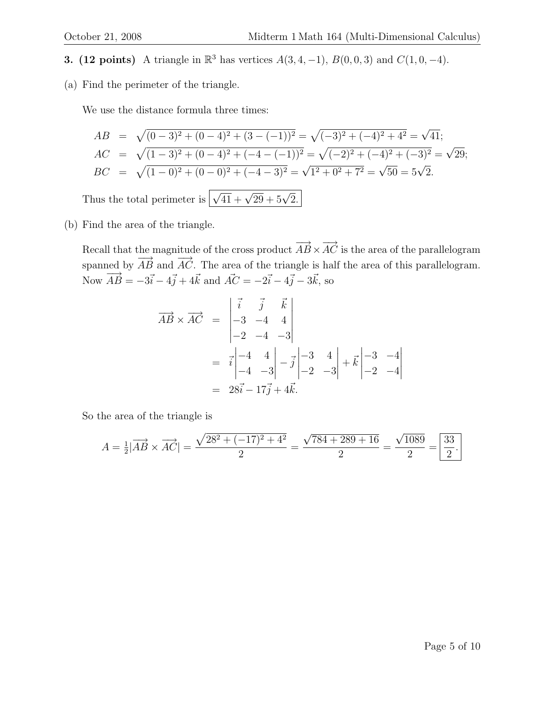**3.** (12 points) A triangle in  $\mathbb{R}^3$  has vertices  $A(3, 4, -1)$ ,  $B(0, 0, 3)$  and  $C(1, 0, -4)$ .

(a) Find the perimeter of the triangle.

We use the distance formula three times:

$$
AB = \sqrt{(0-3)^2 + (0-4)^2 + (3-(-1))^2} = \sqrt{(-3)^2 + (-4)^2 + 4^2} = \sqrt{41};
$$
  
\n
$$
AC = \sqrt{(1-3)^2 + (0-4)^2 + (-4-(-1))^2} = \sqrt{(-2)^2 + (-4)^2 + (-3)^2} = \sqrt{29};
$$
  
\n
$$
BC = \sqrt{(1-0)^2 + (0-0)^2 + (-4-3)^2} = \sqrt{1^2 + 0^2 + 7^2} = \sqrt{50} = 5\sqrt{2}.
$$
  
\nThus the total perimeter is  $\sqrt{41} + \sqrt{29} + 5\sqrt{2}$ .

(b) Find the area of the triangle.

Recall that the magnitude of the cross product  $\overrightarrow{AB} \times \overrightarrow{AC}$  is the area of the parallelogram spanned by  $\overrightarrow{AB}$  and  $\overrightarrow{AC}$ . The area of the triangle is half the area of this parallelogram. Now  $\vec{AB} = -3\vec{i} - 4\vec{j} + 4\vec{k}$  and  $\vec{AC} = -2\vec{i} - 4\vec{j} - 3\vec{k}$ , so

$$
\overrightarrow{AB} \times \overrightarrow{AC} = \begin{vmatrix} \vec{i} & \vec{j} & \vec{k} \\ -3 & -4 & 4 \\ -2 & -4 & -3 \end{vmatrix}
$$
  
=  $\vec{i} \begin{vmatrix} -4 & 4 \\ -4 & -3 \end{vmatrix} - \vec{j} \begin{vmatrix} -3 & 4 \\ -2 & -3 \end{vmatrix} + \vec{k} \begin{vmatrix} -3 & -4 \\ -2 & -4 \end{vmatrix}$   
=  $28\vec{i} - 17\vec{j} + 4\vec{k}$ .

So the area of the triangle is

$$
A = \frac{1}{2} |\overrightarrow{AB} \times \overrightarrow{AC}| = \frac{\sqrt{28^2 + (-17)^2 + 4^2}}{2} = \frac{\sqrt{784 + 289 + 16}}{2} = \frac{\sqrt{1089}}{2} = \boxed{\frac{33}{2}}.
$$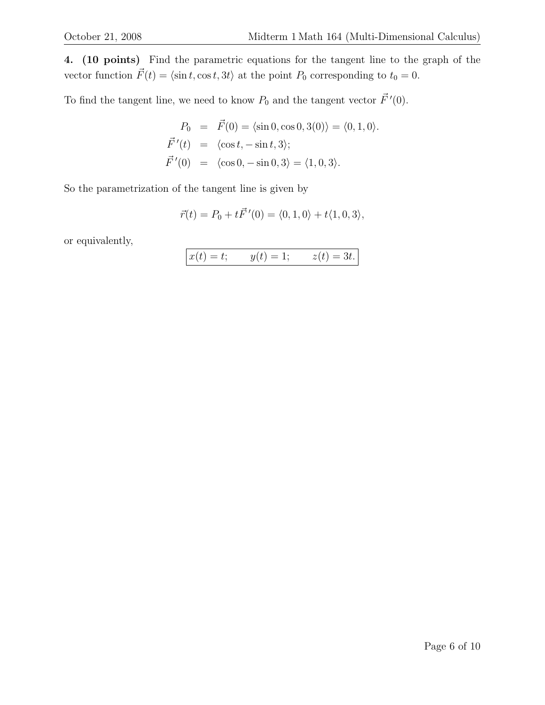4. (10 points) Find the parametric equations for the tangent line to the graph of the vector function  $\vec{F}(t) = \langle \sin t, \cos t, 3t \rangle$  at the point  $P_0$  corresponding to  $t_0 = 0$ .

To find the tangent line, we need to know  $P_0$  and the tangent vector  $\vec{F}^{\prime}(0)$ .

$$
P_0 = \vec{F}(0) = \langle \sin 0, \cos 0, 3(0) \rangle = \langle 0, 1, 0 \rangle.
$$
  

$$
\vec{F}'(t) = \langle \cos t, -\sin t, 3 \rangle;
$$
  

$$
\vec{F}'(0) = \langle \cos 0, -\sin 0, 3 \rangle = \langle 1, 0, 3 \rangle.
$$

So the parametrization of the tangent line is given by

$$
\vec{r}(t) = P_0 + t\vec{F}'(0) = \langle 0, 1, 0 \rangle + t\langle 1, 0, 3 \rangle,
$$

or equivalently,

$$
x(t) = t;
$$
  $y(t) = 1;$   $z(t) = 3t.$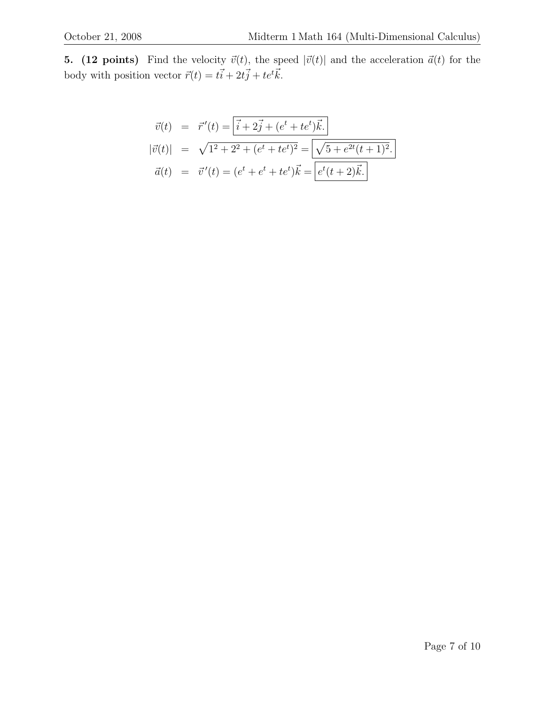**5.** (12 points) Find the velocity  $\vec{v}(t)$ , the speed  $|\vec{v}(t)|$  and the acceleration  $\vec{a}(t)$  for the body with position vector  $\vec{r}(t) = t\vec{i} + 2t\vec{j} + te^t\vec{k}.$ 

$$
\vec{v}(t) = \vec{r}'(t) = \left[\vec{i} + 2\vec{j} + (e^t + te^t)\vec{k}\right] \n|\vec{v}(t)| = \sqrt{1^2 + 2^2 + (e^t + te^t)^2} = \sqrt{5 + e^{2t}(t + 1)^2} \n\vec{a}(t) = \vec{v}'(t) = (e^t + e^t + te^t)\vec{k} = \boxed{e^t(t + 2)\vec{k}}.
$$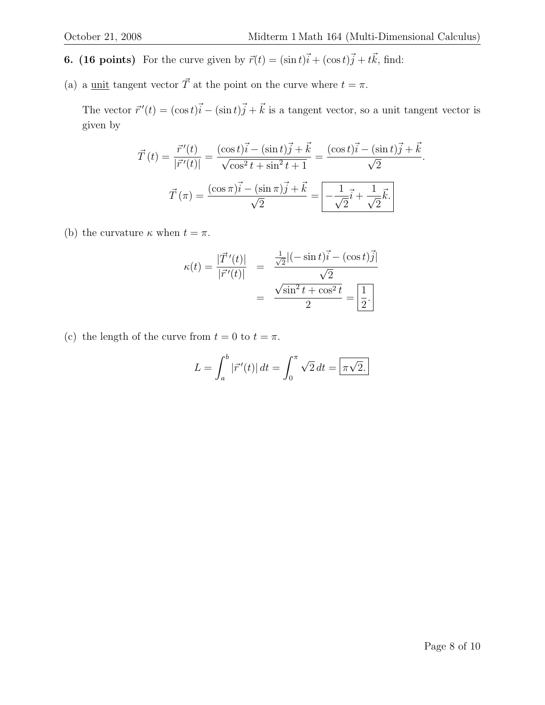.

- **6.** (16 points) For the curve given by  $\vec{r}(t) = (\sin t)\vec{i} + (\cos t)\vec{j} + t\vec{k}$ , find:
- (a) a <u>unit</u> tangent vector  $\vec{T}$  at the point on the curve where  $t = \pi$ .

The vector  $\vec{r}'(t) = (\cos t)\vec{i} - (\sin t)\vec{j} + \vec{k}$  is a tangent vector, so a unit tangent vector is given by

$$
\vec{T}(t) = \frac{\vec{r}'(t)}{|\vec{r}'(t)|} = \frac{(\cos t)\vec{i} - (\sin t)\vec{j} + \vec{k}}{\sqrt{\cos^2 t + \sin^2 t + 1}} = \frac{(\cos t)\vec{i} - (\sin t)\vec{j} + \vec{k}}{\sqrt{2}}
$$

$$
\vec{T}(\pi) = \frac{(\cos \pi)\vec{i} - (\sin \pi)\vec{j} + \vec{k}}{\sqrt{2}} = \boxed{-\frac{1}{\sqrt{2}}\vec{i} + \frac{1}{\sqrt{2}}\vec{k}}.
$$

(b) the curvature  $\kappa$  when  $t = \pi$ .

$$
\kappa(t) = \frac{|\vec{T}'(t)|}{|\vec{r}'(t)|} = \frac{\frac{1}{\sqrt{2}}|(-\sin t)\vec{i} - (\cos t)\vec{j}|}{\sqrt{2}}
$$

$$
= \frac{\sqrt{\sin^2 t + \cos^2 t}}{2} = \boxed{\frac{1}{2}}.
$$

(c) the length of the curve from  $t = 0$  to  $t = \pi$ .

$$
L = \int_{a}^{b} |\vec{r}'(t)| dt = \int_{0}^{\pi} \sqrt{2} dt = \boxed{\pi\sqrt{2}}.
$$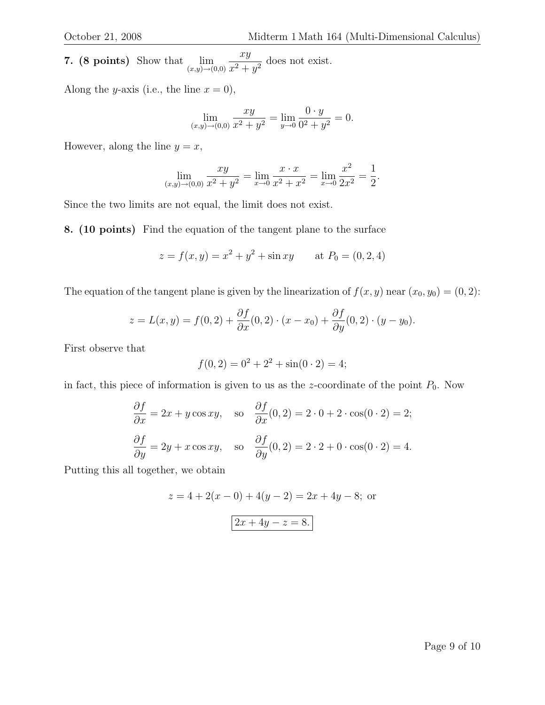7. (8 points) Show that  $\lim_{(x,y)\to(0,0)}$ xy  $\frac{xy}{x^2+y^2}$  does not exist.

Along the *y*-axis (i.e., the line  $x = 0$ ),

$$
\lim_{(x,y)\to(0,0)}\frac{xy}{x^2+y^2} = \lim_{y\to 0}\frac{0\cdot y}{0^2+y^2} = 0.
$$

However, along the line  $y = x$ ,

$$
\lim_{(x,y)\to(0,0)}\frac{xy}{x^2+y^2} = \lim_{x\to 0}\frac{x\cdot x}{x^2+x^2} = \lim_{x\to 0}\frac{x^2}{2x^2} = \frac{1}{2}.
$$

Since the two limits are not equal, the limit does not exist.

8. (10 points) Find the equation of the tangent plane to the surface

$$
z = f(x, y) = x2 + y2 + \sin xy
$$
 at  $P0 = (0, 2, 4)$ 

The equation of the tangent plane is given by the linearization of  $f(x, y)$  near  $(x_0, y_0) = (0, 2)$ :

$$
z = L(x, y) = f(0, 2) + \frac{\partial f}{\partial x}(0, 2) \cdot (x - x_0) + \frac{\partial f}{\partial y}(0, 2) \cdot (y - y_0).
$$

First observe that

$$
f(0,2) = 0^2 + 2^2 + \sin(0 \cdot 2) = 4;
$$

in fact, this piece of information is given to us as the z-coordinate of the point  $P_0$ . Now

$$
\frac{\partial f}{\partial x} = 2x + y \cos xy, \text{ so } \frac{\partial f}{\partial x}(0, 2) = 2 \cdot 0 + 2 \cdot \cos(0 \cdot 2) = 2;
$$
  

$$
\frac{\partial f}{\partial y} = 2y + x \cos xy, \text{ so } \frac{\partial f}{\partial y}(0, 2) = 2 \cdot 2 + 0 \cdot \cos(0 \cdot 2) = 4.
$$

Putting this all together, we obtain

$$
z = 4 + 2(x - 0) + 4(y - 2) = 2x + 4y - 8;
$$
 or  

$$
2x + 4y - z = 8.
$$